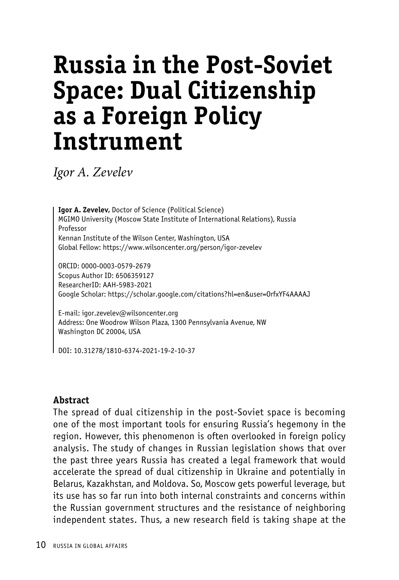# **Russia in the Post-Soviet Space: Dual Citizenship as a Foreign Policy Instrument**

*Igor A. Zevelev*

**Igor A. Zevelev,** Doctor of Science (Political Science) MGIMO University (Moscow State Institute of International Relations), Russia Professor Kennan Institute of the Wilson Center, Washington, USA Global Fellow: https://www.wilsoncenter.org/person/igor-zevelev

ORCID: 0000-0003-0579-2679 Scopus Author ID: 6506359127 ResearcherID: AAH-5983-2021 Google Scholar: https://scholar.google.com/citations?hl=en&user=OrfxYF4AAAAJ

E-mail: igor.zevelev@wilsoncenter.org Address: One Woodrow Wilson Plaza, 1300 Pennsylvania Avenue, NW Washington DC 20004, USA

DOI: 10.31278/1810-6374-2021-19-2-10-37

#### **Abstract**

The spread of dual citizenship in the post-Soviet space is becoming one of the most important tools for ensuring Russia's hegemony in the region. However, this phenomenon is often overlooked in foreign policy analysis. The study of changes in Russian legislation shows that over the past three years Russia has created a legal framework that would accelerate the spread of dual citizenship in Ukraine and potentially in Belarus, Kazakhstan, and Moldova. So, Moscow gets powerful leverage, but its use has so far run into both internal constraints and concerns within the Russian government structures and the resistance of neighboring independent states. Thus, a new research field is taking shape at the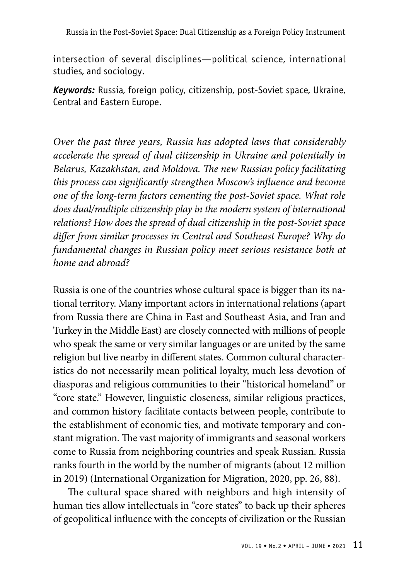intersection of several disciplines—political science, international studies, and sociology.

*Keywords:* Russia, foreign policy, citizenship, post-Soviet space, Ukraine, Central and Eastern Europe.

*Over the past three years, Russia has adopted laws that considerably accelerate the spread of dual citizenship in Ukraine and potentially in Belarus, Kazakhstan, and Moldova. The new Russian policy facilitating this process can significantly strengthen Moscow's influence and become one of the long-term factors cementing the post-Soviet space. What role does dual/multiple citizenship play in the modern system of international relations? How does the spread of dual citizenship in the post-Soviet space differ from similar processes in Central and Southeast Europe? Why do fundamental changes in Russian policy meet serious resistance both at home and abroad?*

Russia is one of the countries whose cultural space is bigger than its national territory. Many important actors in international relations (apart from Russia there are China in East and Southeast Asia, and Iran and Turkey in the Middle East) are closely connected with millions of people who speak the same or very similar languages or are united by the same religion but live nearby in different states. Common cultural characteristics do not necessarily mean political loyalty, much less devotion of diasporas and religious communities to their "historical homeland" or "core state." However, linguistic closeness, similar religious practices, and common history facilitate contacts between people, contribute to the establishment of economic ties, and motivate temporary and constant migration. The vast majority of immigrants and seasonal workers come to Russia from neighboring countries and speak Russian. Russia ranks fourth in the world by the number of migrants (about 12 million in 2019) (International Organization for Migration, 2020, pp. 26, 88).

The cultural space shared with neighbors and high intensity of human ties allow intellectuals in "core states" to back up their spheres of geopolitical influence with the concepts of civilization or the Russian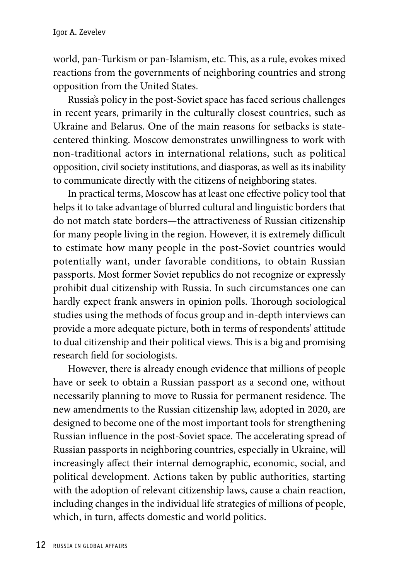world, pan-Turkism or pan-Islamism, etc. This, as a rule, evokes mixed reactions from the governments of neighboring countries and strong opposition from the United States.

Russia's policy in the post-Soviet space has faced serious challenges in recent years, primarily in the culturally closest countries, such as Ukraine and Belarus. One of the main reasons for setbacks is statecentered thinking. Moscow demonstrates unwillingness to work with non-traditional actors in international relations, such as political opposition, civil society institutions, and diasporas, as well as its inability to communicate directly with the citizens of neighboring states.

In practical terms, Moscow has at least one effective policy tool that helps it to take advantage of blurred cultural and linguistic borders that do not match state borders—the attractiveness of Russian citizenship for many people living in the region. However, it is extremely difficult to estimate how many people in the post-Soviet countries would potentially want, under favorable conditions, to obtain Russian passports. Most former Soviet republics do not recognize or expressly prohibit dual citizenship with Russia. In such circumstances one can hardly expect frank answers in opinion polls. Thorough sociological studies using the methods of focus group and in-depth interviews can provide a more adequate picture, both in terms of respondents' attitude to dual citizenship and their political views. This is a big and promising research field for sociologists.

However, there is already enough evidence that millions of people have or seek to obtain a Russian passport as a second one, without necessarily planning to move to Russia for permanent residence. The new amendments to the Russian citizenship law, adopted in 2020, are designed to become one of the most important tools for strengthening Russian influence in the post-Soviet space. The accelerating spread of Russian passports in neighboring countries, especially in Ukraine, will increasingly affect their internal demographic, economic, social, and political development. Actions taken by public authorities, starting with the adoption of relevant citizenship laws, cause a chain reaction, including changes in the individual life strategies of millions of people, which, in turn, affects domestic and world politics.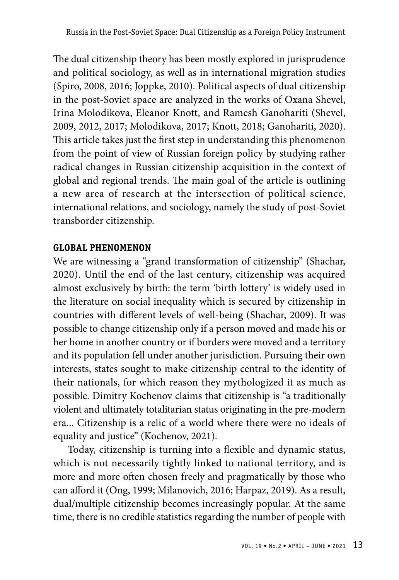The dual citizenship theory has been mostly explored in jurisprudence and political sociology, as well as in international migration studies (Spiro, 2008, 2016; Joppke, 2010). Political aspects of dual citizenship in the post-Soviet space are analyzed in the works of Oxana Shevel, Irina Molodikova, Eleanor Knott, and Ramesh Ganohariti (Shevel, 2009, 2012, 2017; Molodikova, 2017; Knott, 2018; Ganohariti, 2020). This article takes just the first step in understanding this phenomenon from the point of view of Russian foreign policy by studying rather radical changes in Russian citizenship acquisition in the context of global and regional trends. The main goal of the article is outlining a new area of research at the intersection of political science, international relations, and sociology, namely the study of post-Soviet transborder citizenship.

# **GLOBAL PHENOMENON**

We are witnessing a "grand transformation of citizenship" (Shachar, 2020). Until the end of the last century, citizenship was acquired almost exclusively by birth: the term 'birth lottery' is widely used in the literature on social inequality which is secured by citizenship in countries with different levels of well-being (Shachar, 2009). It was possible to change citizenship only if a person moved and made his or her home in another country or if borders were moved and a territory and its population fell under another jurisdiction. Pursuing their own interests, states sought to make citizenship central to the identity of their nationals, for which reason they mythologized it as much as possible. Dimitry Kochenov claims that citizenship is "a traditionally violent and ultimately totalitarian status originating in the pre-modern era... Citizenship is a relic of a world where there were no ideals of equality and justice" (Kochenov, 2021).

Today, citizenship is turning into a flexible and dynamic status, which is not necessarily tightly linked to national territory, and is more and more often chosen freely and pragmatically by those who can afford it (Ong, 1999; Milanovich, 2016; Harpaz, 2019). As a result, dual/multiple citizenship becomes increasingly popular. At the same time, there is no credible statistics regarding the number of people with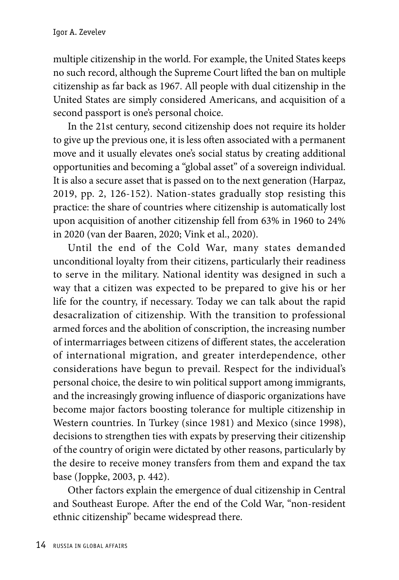multiple citizenship in the world. For example, the United States keeps no such record, although the Supreme Court lifted the ban on multiple citizenship as far back as 1967. All people with dual citizenship in the United States are simply considered Americans, and acquisition of a second passport is one's personal choice.

In the 21st century, second citizenship does not require its holder to give up the previous one, it is less often associated with a permanent move and it usually elevates one's social status by creating additional opportunities and becoming a "global asset" of a sovereign individual. It is also a secure asset that is passed on to the next generation (Harpaz, 2019, pp. 2, 126-152). Nation-states gradually stop resisting this practice: the share of countries where citizenship is automatically lost upon acquisition of another citizenship fell from 63% in 1960 to 24% in 2020 (van der Baaren, 2020; Vink et al., 2020).

Until the end of the Cold War, many states demanded unconditional loyalty from their citizens, particularly their readiness to serve in the military. National identity was designed in such a way that a citizen was expected to be prepared to give his or her life for the country, if necessary. Today we can talk about the rapid desacralization of citizenship. With the transition to professional armed forces and the abolition of conscription, the increasing number of intermarriages between citizens of different states, the acceleration of international migration, and greater interdependence, other considerations have begun to prevail. Respect for the individual's personal choice, the desire to win political support among immigrants, and the increasingly growing influence of diasporic organizations have become major factors boosting tolerance for multiple citizenship in Western countries. In Turkey (since 1981) and Mexico (since 1998), decisions to strengthen ties with expats by preserving their citizenship of the country of origin were dictated by other reasons, particularly by the desire to receive money transfers from them and expand the tax base (Joppke, 2003, p. 442).

Other factors explain the emergence of dual citizenship in Central and Southeast Europe. After the end of the Cold War, "non-resident ethnic citizenship" became widespread there.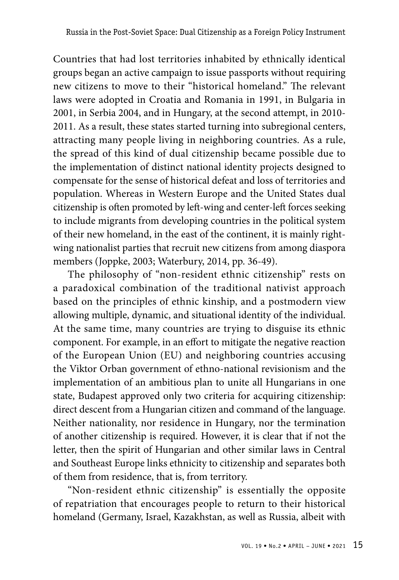Countries that had lost territories inhabited by ethnically identical groups began an active campaign to issue passports without requiring new citizens to move to their "historical homeland." The relevant laws were adopted in Croatia and Romania in 1991, in Bulgaria in 2001, in Serbia 2004, and in Hungary, at the second attempt, in 2010- 2011. As a result, these states started turning into subregional centers, attracting many people living in neighboring countries. As a rule, the spread of this kind of dual citizenship became possible due to the implementation of distinct national identity projects designed to compensate for the sense of historical defeat and loss of territories and population. Whereas in Western Europe and the United States dual citizenship is often promoted by left-wing and center-left forces seeking to include migrants from developing countries in the political system of their new homeland, in the east of the continent, it is mainly rightwing nationalist parties that recruit new citizens from among diaspora members (Joppke, 2003; Waterbury, 2014, pp. 36-49).

The philosophy of "non-resident ethnic citizenship" rests on a paradoxical combination of the traditional nativist approach based on the principles of ethnic kinship, and a postmodern view allowing multiple, dynamic, and situational identity of the individual. At the same time, many countries are trying to disguise its ethnic component. For example, in an effort to mitigate the negative reaction of the European Union (EU) and neighboring countries accusing the Viktor Orban government of ethno-national revisionism and the implementation of an ambitious plan to unite all Hungarians in one state, Budapest approved only two criteria for acquiring citizenship: direct descent from a Hungarian citizen and command of the language. Neither nationality, nor residence in Hungary, nor the termination of another citizenship is required. However, it is clear that if not the letter, then the spirit of Hungarian and other similar laws in Central and Southeast Europe links ethnicity to citizenship and separates both of them from residence, that is, from territory.

"Non-resident ethnic citizenship" is essentially the opposite of repatriation that encourages people to return to their historical homeland (Germany, Israel, Kazakhstan, as well as Russia, albeit with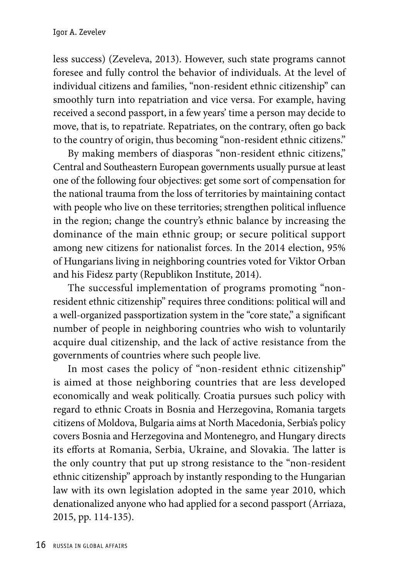less success) (Zeveleva, 2013). However, such state programs cannot foresee and fully control the behavior of individuals. At the level of individual citizens and families, "non-resident ethnic citizenship" can smoothly turn into repatriation and vice versa. For example, having received a second passport, in a few years' time a person may decide to move, that is, to repatriate. Repatriates, on the contrary, often go back to the country of origin, thus becoming "non-resident ethnic citizens."

By making members of diasporas "non-resident ethnic citizens," Central and Southeastern European governments usually pursue at least one of the following four objectives: get some sort of compensation for the national trauma from the loss of territories by maintaining contact with people who live on these territories; strengthen political influence in the region; change the country's ethnic balance by increasing the dominance of the main ethnic group; or secure political support among new citizens for nationalist forces. In the 2014 election, 95% of Hungarians living in neighboring countries voted for Viktor Orban and his Fidesz party (Republikon Institute, 2014).

The successful implementation of programs promoting "nonresident ethnic citizenship" requires three conditions: political will and a well-organized passportization system in the "core state," a significant number of people in neighboring countries who wish to voluntarily acquire dual citizenship, and the lack of active resistance from the governments of countries where such people live.

In most cases the policy of "non-resident ethnic citizenship" is aimed at those neighboring countries that are less developed economically and weak politically. Croatia pursues such policy with regard to ethnic Croats in Bosnia and Herzegovina, Romania targets citizens of Moldova, Bulgaria aims at North Macedonia, Serbia's policy covers Bosnia and Herzegovina and Montenegro, and Hungary directs its efforts at Romania, Serbia, Ukraine, and Slovakia. The latter is the only country that put up strong resistance to the "non-resident ethnic citizenship" approach by instantly responding to the Hungarian law with its own legislation adopted in the same year 2010, which denationalized anyone who had applied for a second passport (Arriaza, 2015, pp. 114-135).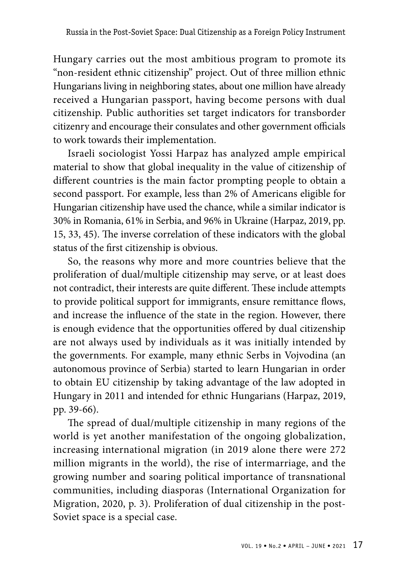Hungary carries out the most ambitious program to promote its "non-resident ethnic citizenship" project. Out of three million ethnic Hungarians living in neighboring states, about one million have already received a Hungarian passport, having become persons with dual citizenship. Public authorities set target indicators for transborder citizenry and encourage their consulates and other government officials to work towards their implementation.

Israeli sociologist Yossi Harpaz has analyzed ample empirical material to show that global inequality in the value of citizenship of different countries is the main factor prompting people to obtain a second passport. For example, less than 2% of Americans eligible for Hungarian citizenship have used the chance, while a similar indicator is 30% in Romania, 61% in Serbia, and 96% in Ukraine (Harpaz, 2019, pp. 15, 33, 45). The inverse correlation of these indicators with the global status of the first citizenship is obvious.

So, the reasons why more and more countries believe that the proliferation of dual/multiple citizenship may serve, or at least does not contradict, their interests are quite different. These include attempts to provide political support for immigrants, ensure remittance flows, and increase the influence of the state in the region. However, there is enough evidence that the opportunities offered by dual citizenship are not always used by individuals as it was initially intended by the governments. For example, many ethnic Serbs in Vojvodina (an autonomous province of Serbia) started to learn Hungarian in order to obtain EU citizenship by taking advantage of the law adopted in Hungary in 2011 and intended for ethnic Hungarians (Harpaz, 2019, pp. 39-66).

The spread of dual/multiple citizenship in many regions of the world is yet another manifestation of the ongoing globalization, increasing international migration (in 2019 alone there were 272 million migrants in the world), the rise of intermarriage, and the growing number and soaring political importance of transnational communities, including diasporas (International Organization for Migration, 2020, p. 3). Proliferation of dual citizenship in the post-Soviet space is a special case.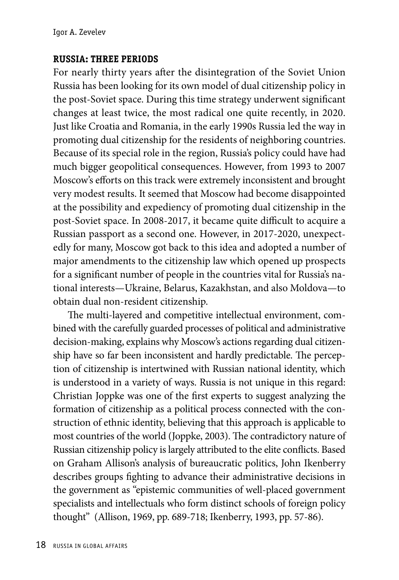## **RUSSIA: THREE PERIODS**

For nearly thirty years after the disintegration of the Soviet Union Russia has been looking for its own model of dual citizenship policy in the post-Soviet space. During this time strategy underwent significant changes at least twice, the most radical one quite recently, in 2020. Just like Croatia and Romania, in the early 1990s Russia led the way in promoting dual citizenship for the residents of neighboring countries. Because of its special role in the region, Russia's policy could have had much bigger geopolitical consequences. However, from 1993 to 2007 Moscow's efforts on this track were extremely inconsistent and brought very modest results. It seemed that Moscow had become disappointed at the possibility and expediency of promoting dual citizenship in the post-Soviet space. In 2008-2017, it became quite difficult to acquire a Russian passport as a second one. However, in 2017-2020, unexpectedly for many, Moscow got back to this idea and adopted a number of major amendments to the citizenship law which opened up prospects for a significant number of people in the countries vital for Russia's national interests—Ukraine, Belarus, Kazakhstan, and also Moldova—to obtain dual non-resident citizenship.

The multi-layered and competitive intellectual environment, combined with the carefully guarded processes of political and administrative decision-making, explains why Moscow's actions regarding dual citizenship have so far been inconsistent and hardly predictable. The perception of citizenship is intertwined with Russian national identity, which is understood in a variety of ways. Russia is not unique in this regard: Christian Joppke was one of the first experts to suggest analyzing the formation of citizenship as a political process connected with the construction of ethnic identity, believing that this approach is applicable to most countries of the world (Joppke, 2003). The contradictory nature of Russian citizenship policy is largely attributed to the elite conflicts. Based on Graham Allison's analysis of bureaucratic politics, John Ikenberry describes groups fighting to advance their administrative decisions in the government as "epistemic communities of well-placed government specialists and intellectuals who form distinct schools of foreign policy thought" (Allison, 1969, pp. 689-718; Ikenberry, 1993, pp. 57-86).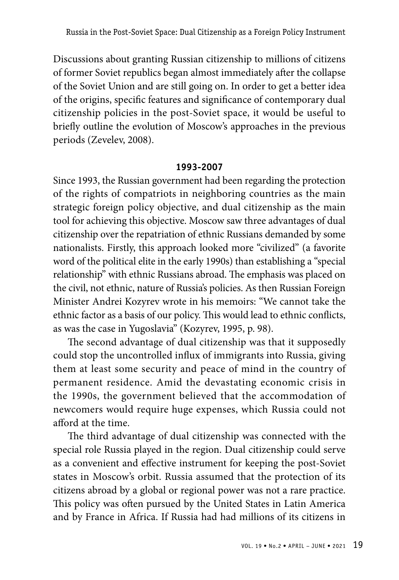Discussions about granting Russian citizenship to millions of citizens of former Soviet republics began almost immediately after the collapse of the Soviet Union and are still going on. In order to get a better idea of the origins, specific features and significance of contemporary dual citizenship policies in the post-Soviet space, it would be useful to briefly outline the evolution of Moscow's approaches in the previous periods (Zevelev, 2008).

## **1993-2007**

Since 1993, the Russian government had been regarding the protection of the rights of compatriots in neighboring countries as the main strategic foreign policy objective, and dual citizenship as the main tool for achieving this objective. Moscow saw three advantages of dual citizenship over the repatriation of ethnic Russians demanded by some nationalists. Firstly, this approach looked more "civilized" (a favorite word of the political elite in the early 1990s) than establishing a "special relationship" with ethnic Russians abroad. The emphasis was placed on the civil, not ethnic, nature of Russia's policies. As then Russian Foreign Minister Andrei Kozyrev wrote in his memoirs: "We cannot take the ethnic factor as a basis of our policy. This would lead to ethnic conflicts, as was the case in Yugoslavia" (Kozyrev, 1995, p. 98).

The second advantage of dual citizenship was that it supposedly could stop the uncontrolled influx of immigrants into Russia, giving them at least some security and peace of mind in the country of permanent residence. Amid the devastating economic crisis in the 1990s, the government believed that the accommodation of newcomers would require huge expenses, which Russia could not afford at the time.

The third advantage of dual citizenship was connected with the special role Russia played in the region. Dual citizenship could serve as a convenient and effective instrument for keeping the post-Soviet states in Moscow's orbit. Russia assumed that the protection of its citizens abroad by a global or regional power was not a rare practice. This policy was often pursued by the United States in Latin America and by France in Africa. If Russia had had millions of its citizens in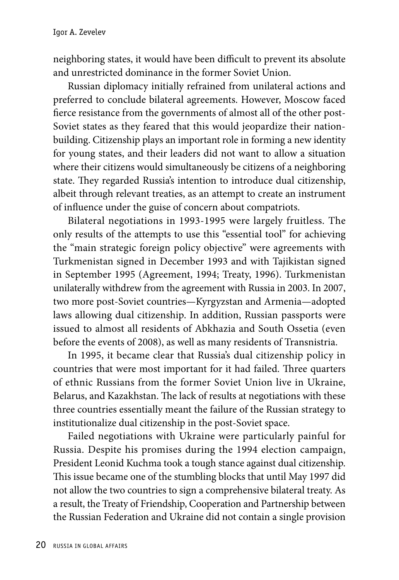neighboring states, it would have been difficult to prevent its absolute and unrestricted dominance in the former Soviet Union.

Russian diplomacy initially refrained from unilateral actions and preferred to conclude bilateral agreements. However, Moscow faced fierce resistance from the governments of almost all of the other post-Soviet states as they feared that this would jeopardize their nationbuilding. Citizenship plays an important role in forming a new identity for young states, and their leaders did not want to allow a situation where their citizens would simultaneously be citizens of a neighboring state. They regarded Russia's intention to introduce dual citizenship, albeit through relevant treaties, as an attempt to create an instrument of influence under the guise of concern about compatriots.

Bilateral negotiations in 1993-1995 were largely fruitless. The only results of the attempts to use this "essential tool" for achieving the "main strategic foreign policy objective" were agreements with Turkmenistan signed in December 1993 and with Tajikistan signed in September 1995 (Agreement, 1994; Treaty, 1996). Turkmenistan unilaterally withdrew from the agreement with Russia in 2003. In 2007, two more post-Soviet countries—Kyrgyzstan and Armenia—adopted laws allowing dual citizenship. In addition, Russian passports were issued to almost all residents of Abkhazia and South Ossetia (even before the events of 2008), as well as many residents of Transnistria.

In 1995, it became clear that Russia's dual citizenship policy in countries that were most important for it had failed. Three quarters of ethnic Russians from the former Soviet Union live in Ukraine, Belarus, and Kazakhstan. The lack of results at negotiations with these three countries essentially meant the failure of the Russian strategy to institutionalize dual citizenship in the post-Soviet space.

Failed negotiations with Ukraine were particularly painful for Russia. Despite his promises during the 1994 election campaign, President Leonid Kuchma took a tough stance against dual citizenship. This issue became one of the stumbling blocks that until May 1997 did not allow the two countries to sign a comprehensive bilateral treaty. As a result, the Treaty of Friendship, Cooperation and Partnership between the Russian Federation and Ukraine did not contain a single provision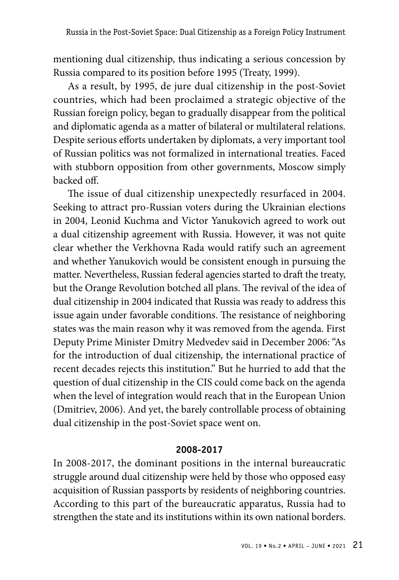mentioning dual citizenship, thus indicating a serious concession by Russia compared to its position before 1995 (Treaty, 1999).

As a result, by 1995, de jure dual citizenship in the post-Soviet countries, which had been proclaimed a strategic objective of the Russian foreign policy, began to gradually disappear from the political and diplomatic agenda as a matter of bilateral or multilateral relations. Despite serious efforts undertaken by diplomats, a very important tool of Russian politics was not formalized in international treaties. Faced with stubborn opposition from other governments, Moscow simply backed off.

The issue of dual citizenship unexpectedly resurfaced in 2004. Seeking to attract pro-Russian voters during the Ukrainian elections in 2004, Leonid Kuchma and Victor Yanukovich agreed to work out a dual citizenship agreement with Russia. However, it was not quite clear whether the Verkhovna Rada would ratify such an agreement and whether Yanukovich would be consistent enough in pursuing the matter. Nevertheless, Russian federal agencies started to draft the treaty, but the Orange Revolution botched all plans. The revival of the idea of dual citizenship in 2004 indicated that Russia was ready to address this issue again under favorable conditions. The resistance of neighboring states was the main reason why it was removed from the agenda. First Deputy Prime Minister Dmitry Medvedev said in December 2006: "As for the introduction of dual citizenship, the international practice of recent decades rejects this institution." But he hurried to add that the question of dual citizenship in the CIS could come back on the agenda when the level of integration would reach that in the European Union (Dmitriev, 2006). And yet, the barely controllable process of obtaining dual citizenship in the post-Soviet space went on.

#### **2008-2017**

In 2008-2017, the dominant positions in the internal bureaucratic struggle around dual citizenship were held by those who opposed easy acquisition of Russian passports by residents of neighboring countries. According to this part of the bureaucratic apparatus, Russia had to strengthen the state and its institutions within its own national borders.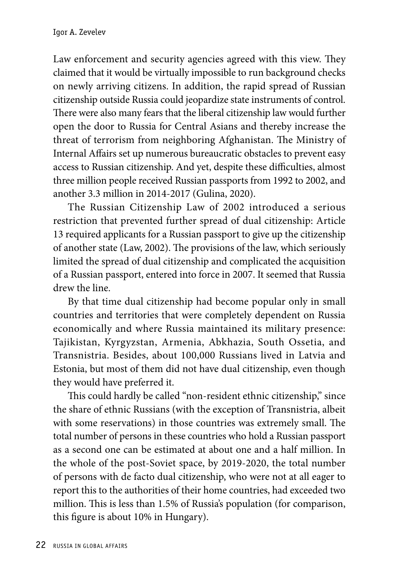Law enforcement and security agencies agreed with this view. They claimed that it would be virtually impossible to run background checks on newly arriving citizens. In addition, the rapid spread of Russian citizenship outside Russia could jeopardize state instruments of control. There were also many fears that the liberal citizenship law would further open the door to Russia for Central Asians and thereby increase the threat of terrorism from neighboring Afghanistan. The Ministry of Internal Affairs set up numerous bureaucratic obstacles to prevent easy access to Russian citizenship. And yet, despite these difficulties, almost three million people received Russian passports from 1992 to 2002, and another 3.3 million in 2014-2017 (Gulina, 2020).

The Russian Citizenship Law of 2002 introduced a serious restriction that prevented further spread of dual citizenship: Article 13 required applicants for a Russian passport to give up the citizenship of another state (Law, 2002). The provisions of the law, which seriously limited the spread of dual citizenship and complicated the acquisition of a Russian passport, entered into force in 2007. It seemed that Russia drew the line.

By that time dual citizenship had become popular only in small countries and territories that were completely dependent on Russia economically and where Russia maintained its military presence: Tajikistan, Kyrgyzstan, Armenia, Abkhazia, South Ossetia, and Transnistria. Besides, about 100,000 Russians lived in Latvia and Estonia, but most of them did not have dual citizenship, even though they would have preferred it.

This could hardly be called "non-resident ethnic citizenship," since the share of ethnic Russians (with the exception of Transnistria, albeit with some reservations) in those countries was extremely small. The total number of persons in these countries who hold a Russian passport as a second one can be estimated at about one and a half million. In the whole of the post-Soviet space, by 2019-2020, the total number of persons with de facto dual citizenship, who were not at all eager to report this to the authorities of their home countries, had exceeded two million. This is less than 1.5% of Russia's population (for comparison, this figure is about 10% in Hungary).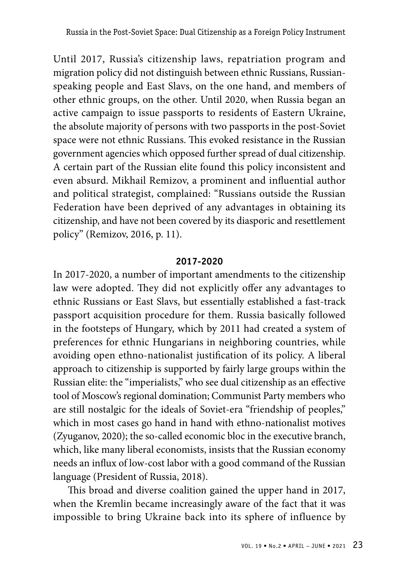Until 2017, Russia's citizenship laws, repatriation program and migration policy did not distinguish between ethnic Russians, Russianspeaking people and East Slavs, on the one hand, and members of other ethnic groups, on the other. Until 2020, when Russia began an active campaign to issue passports to residents of Eastern Ukraine, the absolute majority of persons with two passports in the post-Soviet space were not ethnic Russians. This evoked resistance in the Russian government agencies which opposed further spread of dual citizenship. A certain part of the Russian elite found this policy inconsistent and even absurd. Mikhail Remizov, a prominent and influential author and political strategist, complained: "Russians outside the Russian Federation have been deprived of any advantages in obtaining its citizenship, and have not been covered by its diasporic and resettlement policy" (Remizov, 2016, p. 11).

### **2017-2020**

In 2017-2020, a number of important amendments to the citizenship law were adopted. They did not explicitly offer any advantages to ethnic Russians or East Slavs, but essentially established a fast-track passport acquisition procedure for them. Russia basically followed in the footsteps of Hungary, which by 2011 had created a system of preferences for ethnic Hungarians in neighboring countries, while avoiding open ethno-nationalist justification of its policy. A liberal approach to citizenship is supported by fairly large groups within the Russian elite: the "imperialists," who see dual citizenship as an effective tool of Moscow's regional domination; Communist Party members who are still nostalgic for the ideals of Soviet-era "friendship of peoples," which in most cases go hand in hand with ethno-nationalist motives (Zyuganov, 2020); the so-called economic bloc in the executive branch, which, like many liberal economists, insists that the Russian economy needs an influx of low-cost labor with a good command of the Russian language (President of Russia, 2018).

This broad and diverse coalition gained the upper hand in 2017, when the Kremlin became increasingly aware of the fact that it was impossible to bring Ukraine back into its sphere of influence by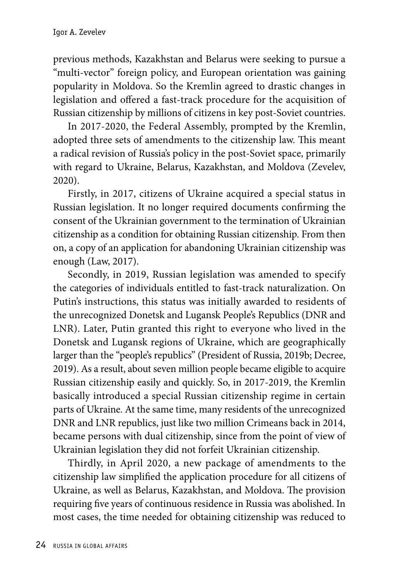previous methods, Kazakhstan and Belarus were seeking to pursue a "multi-vector" foreign policy, and European orientation was gaining popularity in Moldova. So the Kremlin agreed to drastic changes in legislation and offered a fast-track procedure for the acquisition of Russian citizenship by millions of citizens in key post-Soviet countries.

In 2017-2020, the Federal Assembly, prompted by the Kremlin, adopted three sets of amendments to the citizenship law. This meant a radical revision of Russia's policy in the post-Soviet space, primarily with regard to Ukraine, Belarus, Kazakhstan, and Moldova (Zevelev, 2020).

Firstly, in 2017, citizens of Ukraine acquired a special status in Russian legislation. It no longer required documents confirming the consent of the Ukrainian government to the termination of Ukrainian citizenship as a condition for obtaining Russian citizenship. From then on, a copy of an application for abandoning Ukrainian citizenship was enough (Law, 2017).

Secondly, in 2019, Russian legislation was amended to specify the categories of individuals entitled to fast-track naturalization. On Putin's instructions, this status was initially awarded to residents of the unrecognized Donetsk and Lugansk People's Republics (DNR and LNR). Later, Putin granted this right to everyone who lived in the Donetsk and Lugansk regions of Ukraine, which are geographically larger than the "people's republics" (President of Russia, 2019b; Decree, 2019). As a result, about seven million people became eligible to acquire Russian citizenship easily and quickly. So, in 2017-2019, the Kremlin basically introduced a special Russian citizenship regime in certain parts of Ukraine. At the same time, many residents of the unrecognized DNR and LNR republics, just like two million Crimeans back in 2014, became persons with dual citizenship, since from the point of view of Ukrainian legislation they did not forfeit Ukrainian citizenship.

Thirdly, in April 2020, a new package of amendments to the citizenship law simplified the application procedure for all citizens of Ukraine, as well as Belarus, Kazakhstan, and Moldova. The provision requiring five years of continuous residence in Russia was abolished. In most cases, the time needed for obtaining citizenship was reduced to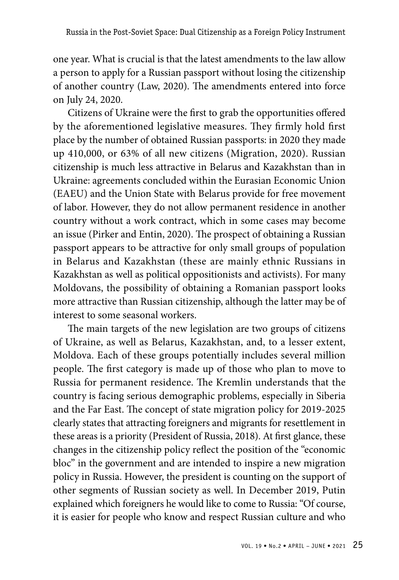one year. What is crucial is that the latest amendments to the law allow a person to apply for a Russian passport without losing the citizenship of another country (Law, 2020). The amendments entered into force on July 24, 2020.

Citizens of Ukraine were the first to grab the opportunities offered by the aforementioned legislative measures. They firmly hold first place by the number of obtained Russian passports: in 2020 they made up 410,000, or 63% of all new citizens (Migration, 2020). Russian citizenship is much less attractive in Belarus and Kazakhstan than in Ukraine: agreements concluded within the Eurasian Economic Union (EAEU) and the Union State with Belarus provide for free movement of labor. However, they do not allow permanent residence in another country without a work contract, which in some cases may become an issue (Pirker and Entin, 2020). The prospect of obtaining a Russian passport appears to be attractive for only small groups of population in Belarus and Kazakhstan (these are mainly ethnic Russians in Kazakhstan as well as political oppositionists and activists). For many Moldovans, the possibility of obtaining a Romanian passport looks more attractive than Russian citizenship, although the latter may be of interest to some seasonal workers.

The main targets of the new legislation are two groups of citizens of Ukraine, as well as Belarus, Kazakhstan, and, to a lesser extent, Moldova. Each of these groups potentially includes several million people. The first category is made up of those who plan to move to Russia for permanent residence. The Kremlin understands that the country is facing serious demographic problems, especially in Siberia and the Far East. The concept of state migration policy for 2019-2025 clearly states that attracting foreigners and migrants for resettlement in these areas is a priority (President of Russia, 2018). At first glance, these changes in the citizenship policy reflect the position of the "economic bloc" in the government and are intended to inspire a new migration policy in Russia. However, the president is counting on the support of other segments of Russian society as well. In December 2019, Putin explained which foreigners he would like to come to Russia: "Of course, it is easier for people who know and respect Russian culture and who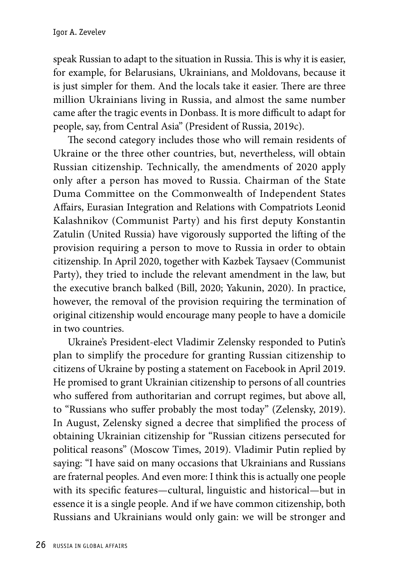speak Russian to adapt to the situation in Russia. This is why it is easier, for example, for Belarusians, Ukrainians, and Moldovans, because it is just simpler for them. And the locals take it easier. There are three million Ukrainians living in Russia, and almost the same number came after the tragic events in Donbass. It is more difficult to adapt for people, say, from Central Asia" (President of Russia, 2019c).

The second category includes those who will remain residents of Ukraine or the three other countries, but, nevertheless, will obtain Russian citizenship. Technically, the amendments of 2020 apply only after a person has moved to Russia. Chairman of the State Duma Committee on the Commonwealth of Independent States Affairs, Eurasian Integration and Relations with Compatriots Leonid Kalashnikov (Communist Party) and his first deputy Konstantin Zatulin (United Russia) have vigorously supported the lifting of the provision requiring a person to move to Russia in order to obtain citizenship. In April 2020, together with Kazbek Taysaev (Communist Party), they tried to include the relevant amendment in the law, but the executive branch balked (Bill, 2020; Yakunin, 2020). In practice, however, the removal of the provision requiring the termination of original citizenship would encourage many people to have a domicile in two countries.

Ukraine's President-elect Vladimir Zelensky responded to Putin's plan to simplify the procedure for granting Russian citizenship to citizens of Ukraine by posting a statement on Facebook in April 2019. He promised to grant Ukrainian citizenship to persons of all countries who suffered from authoritarian and corrupt regimes, but above all, to "Russians who suffer probably the most today" (Zelensky, 2019). In August, Zelensky signed a decree that simplified the process of obtaining Ukrainian citizenship for "Russian citizens persecuted for political reasons" (Moscow Times, 2019). Vladimir Putin replied by saying: "I have said on many occasions that Ukrainians and Russians are fraternal peoples. And even more: I think this is actually one people with its specific features—cultural, linguistic and historical—but in essence it is a single people. And if we have common citizenship, both Russians and Ukrainians would only gain: we will be stronger and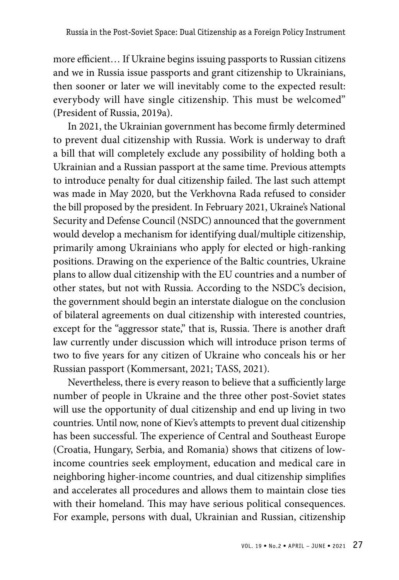more efficient… If Ukraine begins issuing passports to Russian citizens and we in Russia issue passports and grant citizenship to Ukrainians, then sooner or later we will inevitably come to the expected result: everybody will have single citizenship. This must be welcomed" (President of Russia, 2019a).

In 2021, the Ukrainian government has become firmly determined to prevent dual citizenship with Russia. Work is underway to draft a bill that will completely exclude any possibility of holding both a Ukrainian and a Russian passport at the same time. Previous attempts to introduce penalty for dual citizenship failed. The last such attempt was made in May 2020, but the Verkhovna Rada refused to consider the bill proposed by the president. In February 2021, Ukraine's National Security and Defense Council (NSDC) announced that the government would develop a mechanism for identifying dual/multiple citizenship, primarily among Ukrainians who apply for elected or high-ranking positions. Drawing on the experience of the Baltic countries, Ukraine plans to allow dual citizenship with the EU countries and a number of other states, but not with Russia. According to the NSDC's decision, the government should begin an interstate dialogue on the conclusion of bilateral agreements on dual citizenship with interested countries, except for the "aggressor state," that is, Russia. There is another draft law currently under discussion which will introduce prison terms of two to five years for any citizen of Ukraine who conceals his or her Russian passport (Kommersant, 2021; TASS, 2021).

Nevertheless, there is every reason to believe that a sufficiently large number of people in Ukraine and the three other post-Soviet states will use the opportunity of dual citizenship and end up living in two countries. Until now, none of Kiev's attempts to prevent dual citizenship has been successful. The experience of Central and Southeast Europe (Croatia, Hungary, Serbia, and Romania) shows that citizens of lowincome countries seek employment, education and medical care in neighboring higher-income countries, and dual citizenship simplifies and accelerates all procedures and allows them to maintain close ties with their homeland. This may have serious political consequences. For example, persons with dual, Ukrainian and Russian, citizenship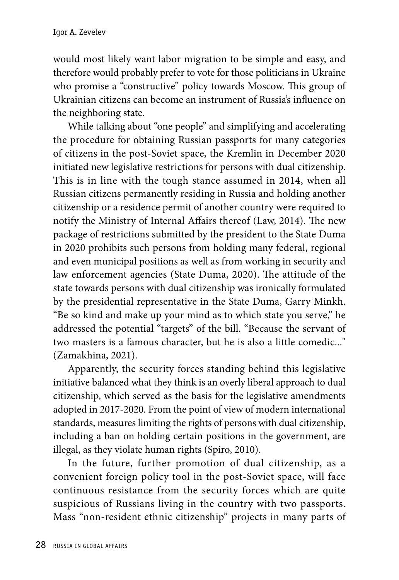would most likely want labor migration to be simple and easy, and therefore would probably prefer to vote for those politicians in Ukraine who promise a "constructive" policy towards Moscow. This group of Ukrainian citizens can become an instrument of Russia's influence on the neighboring state.

While talking about "one people" and simplifying and accelerating the procedure for obtaining Russian passports for many categories of citizens in the post-Soviet space, the Kremlin in December 2020 initiated new legislative restrictions for persons with dual citizenship. This is in line with the tough stance assumed in 2014, when all Russian citizens permanently residing in Russia and holding another citizenship or a residence permit of another country were required to notify the Ministry of Internal Affairs thereof (Law, 2014). The new package of restrictions submitted by the president to the State Duma in 2020 prohibits such persons from holding many federal, regional and even municipal positions as well as from working in security and law enforcement agencies (State Duma, 2020). The attitude of the state towards persons with dual citizenship was ironically formulated by the presidential representative in the State Duma, Garry Minkh. "Be so kind and make up your mind as to which state you serve," he addressed the potential "targets" of the bill. "Because the servant of two masters is a famous character, but he is also a little comedic..." (Zamakhina, 2021).

Apparently, the security forces standing behind this legislative initiative balanced what they think is an overly liberal approach to dual citizenship, which served as the basis for the legislative amendments adopted in 2017-2020. From the point of view of modern international standards, measures limiting the rights of persons with dual citizenship, including a ban on holding certain positions in the government, are illegal, as they violate human rights (Spiro, 2010).

In the future, further promotion of dual citizenship, as a convenient foreign policy tool in the post-Soviet space, will face continuous resistance from the security forces which are quite suspicious of Russians living in the country with two passports. Mass "non-resident ethnic citizenship" projects in many parts of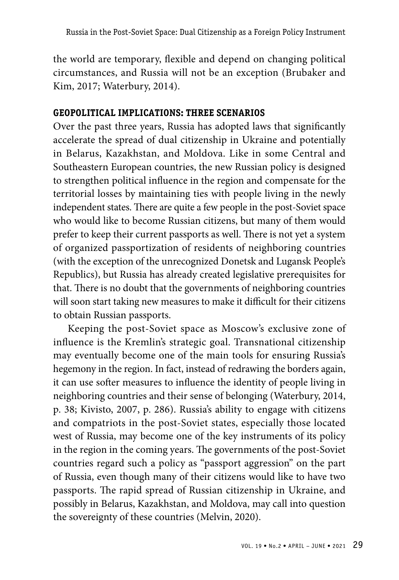the world are temporary, flexible and depend on changing political circumstances, and Russia will not be an exception (Brubaker and Kim, 2017; Waterbury, 2014).

# **GEOPOLITICAL IMPLICATIONS: THREE SCENARIOS**

Over the past three years, Russia has adopted laws that significantly accelerate the spread of dual citizenship in Ukraine and potentially in Belarus, Kazakhstan, and Moldova. Like in some Central and Southeastern European countries, the new Russian policy is designed to strengthen political influence in the region and compensate for the territorial losses by maintaining ties with people living in the newly independent states. There are quite a few people in the post-Soviet space who would like to become Russian citizens, but many of them would prefer to keep their current passports as well. There is not yet a system of organized passportization of residents of neighboring countries (with the exception of the unrecognized Donetsk and Lugansk People's Republics), but Russia has already created legislative prerequisites for that. There is no doubt that the governments of neighboring countries will soon start taking new measures to make it difficult for their citizens to obtain Russian passports.

Keeping the post-Soviet space as Moscow's exclusive zone of influence is the Kremlin's strategic goal. Transnational citizenship may eventually become one of the main tools for ensuring Russia's hegemony in the region. In fact, instead of redrawing the borders again, it can use softer measures to influence the identity of people living in neighboring countries and their sense of belonging (Waterbury, 2014, p. 38; Kivisto, 2007, p. 286). Russia's ability to engage with citizens and compatriots in the post-Soviet states, especially those located west of Russia, may become one of the key instruments of its policy in the region in the coming years. The governments of the post-Soviet countries regard such a policy as "passport aggression" on the part of Russia, even though many of their citizens would like to have two passports. The rapid spread of Russian citizenship in Ukraine, and possibly in Belarus, Kazakhstan, and Moldova, may call into question the sovereignty of these countries (Melvin, 2020).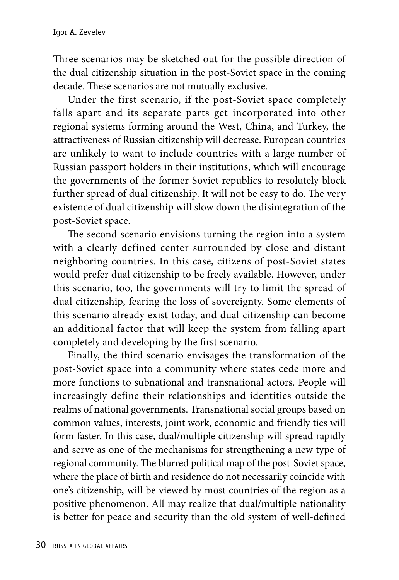Three scenarios may be sketched out for the possible direction of the dual citizenship situation in the post-Soviet space in the coming decade. These scenarios are not mutually exclusive.

Under the first scenario, if the post-Soviet space completely falls apart and its separate parts get incorporated into other regional systems forming around the West, China, and Turkey, the attractiveness of Russian citizenship will decrease. European countries are unlikely to want to include countries with a large number of Russian passport holders in their institutions, which will encourage the governments of the former Soviet republics to resolutely block further spread of dual citizenship. It will not be easy to do. The very existence of dual citizenship will slow down the disintegration of the post-Soviet space.

The second scenario envisions turning the region into a system with a clearly defined center surrounded by close and distant neighboring countries. In this case, citizens of post-Soviet states would prefer dual citizenship to be freely available. However, under this scenario, too, the governments will try to limit the spread of dual citizenship, fearing the loss of sovereignty. Some elements of this scenario already exist today, and dual citizenship can become an additional factor that will keep the system from falling apart completely and developing by the first scenario.

Finally, the third scenario envisages the transformation of the post-Soviet space into a community where states cede more and more functions to subnational and transnational actors. People will increasingly define their relationships and identities outside the realms of national governments. Transnational social groups based on common values, interests, joint work, economic and friendly ties will form faster. In this case, dual/multiple citizenship will spread rapidly and serve as one of the mechanisms for strengthening a new type of regional community. The blurred political map of the post-Soviet space, where the place of birth and residence do not necessarily coincide with one's citizenship, will be viewed by most countries of the region as a positive phenomenon. All may realize that dual/multiple nationality is better for peace and security than the old system of well-defined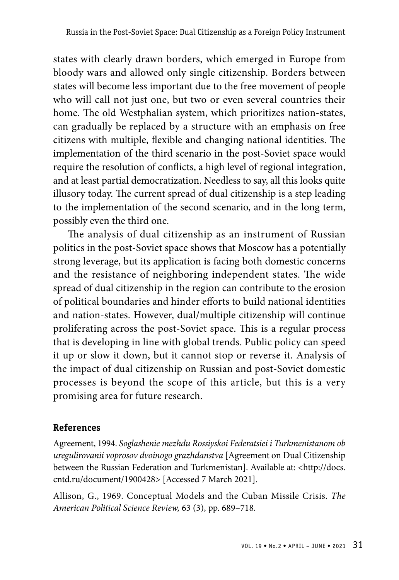states with clearly drawn borders, which emerged in Europe from bloody wars and allowed only single citizenship. Borders between states will become less important due to the free movement of people who will call not just one, but two or even several countries their home. The old Westphalian system, which prioritizes nation-states, can gradually be replaced by a structure with an emphasis on free citizens with multiple, flexible and changing national identities. The implementation of the third scenario in the post-Soviet space would require the resolution of conflicts, a high level of regional integration, and at least partial democratization. Needless to say, all this looks quite illusory today. The current spread of dual citizenship is a step leading to the implementation of the second scenario, and in the long term, possibly even the third one.

The analysis of dual citizenship as an instrument of Russian politics in the post-Soviet space shows that Moscow has a potentially strong leverage, but its application is facing both domestic concerns and the resistance of neighboring independent states. The wide spread of dual citizenship in the region can contribute to the erosion of political boundaries and hinder efforts to build national identities and nation-states. However, dual/multiple citizenship will continue proliferating across the post-Soviet space. This is a regular process that is developing in line with global trends. Public policy can speed it up or slow it down, but it cannot stop or reverse it. Analysis of the impact of dual citizenship on Russian and post-Soviet domestic processes is beyond the scope of this article, but this is a very promising area for future research.

## **References**

Agreement, 1994. *Soglashenie mezhdu Rossiyskoi Federatsiei i Turkmenistanom ob uregulirovanii voprosov dvoinogo grazhdanstva* [Agreement on Dual Citizenship between the Russian Federation and Turkmenistan]. Available at: <http://docs. cntd.ru/document/1900428> [Accessed 7 March 2021].

Allison, G., 1969. Conceptual Models and the Cuban Missile Crisis. *The American Political Science Review,* 63 (3), pp. 689–718.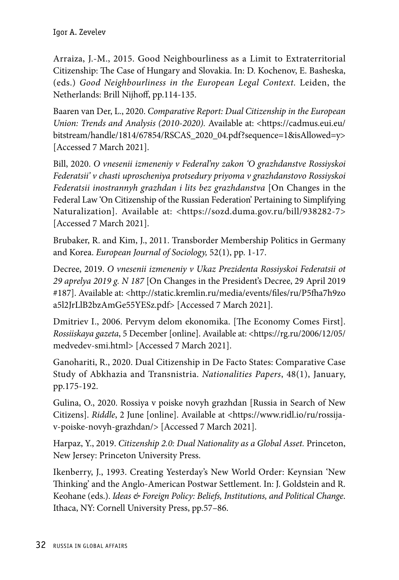Arraiza, J.-M., 2015. Good Neighbourliness as a Limit to Extraterritorial Citizenship: The Case of Hungary and Slovakia. In: D. Kochenov, E. Basheska, (eds.) *Good Neighbourliness in the European Legal Context.* Leiden, the Netherlands: Brill Nijhoff, pp.114-135.

Baaren van Der, L., 2020. *Comparative Report: Dual Citizenship in the European Union: Trends and Analysis (2010-2020).* Available at: <https://cadmus.eui.eu/ bitstream/handle/1814/67854/RSCAS\_2020\_04.pdf?sequence=1&isAllowed=y> [Accessed 7 March 2021].

Bill, 2020. *O vnesenii izmeneniy v Federal'ny zakon 'O grazhdanstve Rossiyskoi Federatsii' v chasti uproscheniya protsedury priyoma v grazhdanstovo Rossiyskoi Federatsii inostrannyh grazhdan i lits bez grazhdanstva* [On Changes in the Federal Law 'On Citizenship of the Russian Federation' Pertaining to Simplifying Naturalization]. Available at: <https://sozd.duma.gov.ru/bill/938282-7> [Accessed 7 March 2021].

Brubaker, R. and Kim, J., 2011. Transborder Membership Politics in Germany and Korea. *European Journal of Sociology,* 52(1), pp. 1-17.

Decree, 2019. *O vnesenii izmeneniy v Ukaz Prezidenta Rossiyskoi Federatsii ot 29 aprelya 2019 g. N 187* [On Changes in the President's Decree, 29 April 2019 #187]. Available at: <http://static.kremlin.ru/media/events/files/ru/P5fha7h9zo a5l2JrLlB2bzAmGe55YESz.pdf> [Accessed 7 March 2021].

Dmitriev I., 2006. Pervym delom ekonomika. [The Economy Comes First]. *Rossiiskaya gazeta*, 5 December [online]. Available at: <https://rg.ru/2006/12/05/ medvedev-smi.html> [Accessed 7 March 2021].

Ganohariti, R., 2020. Dual Citizenship in De Facto States: Comparative Case Study of Abkhazia and Transnistria. *Nationalities Papers*, 48(1), January, pp.175-192.

Gulina, O., 2020. Rossiya v poiske novyh grazhdan [Russia in Search of New Citizens]. *Riddle*, 2 June [online]. Available at <https://www.ridl.io/ru/rossijav-poiske-novyh-grazhdan/> [Accessed 7 March 2021].

Harpaz, Y., 2019. *Citizenship 2.0: Dual Nationality as a Global Asset.* Princeton, New Jersey: Princeton University Press.

Ikenberry, J., 1993. Creating Yesterday's New World Order: Keynsian 'New Thinking' and the Anglo-American Postwar Settlement. In: J. Goldstein and R. Keohane (eds.). *Ideas & Foreign Policy: Beliefs, Institutions, and Political Change*. Ithaca, NY: Cornell University Press, pp.57–86.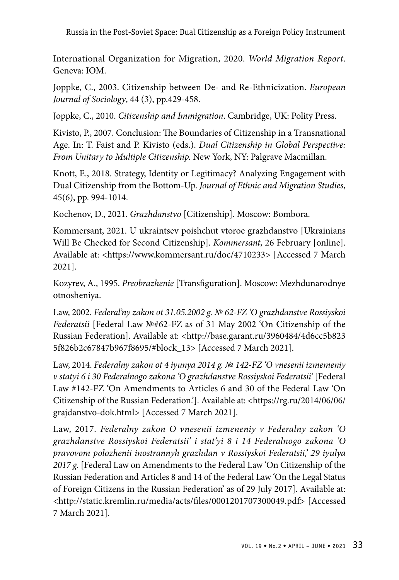International Organization for Migration, 2020. *World Migration Report*. Geneva: IOM.

Joppke, C., 2003. Citizenship between De- and Re-Ethnicization. *European Journal of Sociology*, 44 (3), pp.429-458.

Joppke, C., 2010. *Citizenship and Immigration*. Cambridge, UK: Polity Press.

Kivisto, P., 2007. Conclusion: The Boundaries of Citizenship in a Transnational Age. In: T. Faist and P. Kivisto (eds.). *Dual Citizenship in Global Perspective: From Unitary to Multiple Citizenship.* New York, NY: Palgrave Macmillan.

Knott, E., 2018. Strategy, Identity or Legitimacy? Analyzing Engagement with Dual Citizenship from the Bottom-Up. *Journal of Ethnic and Migration Studies*, 45(6), pp. 994-1014.

Kochenov, D., 2021. *Grazhdanstvo* [Citizenship]. Moscow: Bombora.

Kommersant, 2021. U ukraintsev poishchut vtoroe grazhdanstvo [Ukrainians Will Be Checked for Second Citizenship]. *Kommersant*, 26 February [online]. Available at: <https://www.kommersant.ru/doc/4710233> [Accessed 7 March 2021].

Kozyrev, A., 1995. *Preobrazhenie* [Transfiguration]. Moscow: Mezhdunarodnye otnosheniya.

Law, 2002. *Federal'ny zakon ot 31.05.2002 g. № 62-FZ 'O grazhdanstve Rossiyskoi Federatsii* [Federal Law №#62-FZ as of 31 May 2002 'On Citizenship of the Russian Federation]. Available at: <http://base.garant.ru/3960484/4d6cc5b823 5f826b2c67847b967f8695/#block\_13> [Accessed 7 March 2021].

Law, 2014. *Federalny zakon ot 4 iyunya 2014 g. № 142-FZ 'O vnesenii izmemeniy v statyi 6 i 30 Federalnogo zakona 'O grazhdanstve Rossiyskoi Federatsii'* [Federal Law #142-FZ 'On Amendments to Articles 6 and 30 of the Federal Law 'On Citizenship of the Russian Federation.']. Available at: <https://rg.ru/2014/06/06/ grajdanstvo-dok.html> [Accessed 7 March 2021].

Law, 2017. *Federalny zakon O vnesenii izmeneniy v Federalny zakon 'O grazhdanstve Rossiyskoi Federatsii' i stat'yi 8 i 14 Federalnogo zakona 'O pravovom polozhenii inostrannyh grazhdan v Rossiyskoi Federatsii,' 29 iyulya 2017 g.* [Federal Law on Amendments to the Federal Law 'On Citizenship of the Russian Federation and Articles 8 and 14 of the Federal Law 'On the Legal Status of Foreign Citizens in the Russian Federation' as of 29 July 2017]. Available at: <http://static.kremlin.ru/media/acts/files/0001201707300049.pdf> [Accessed 7 March 2021].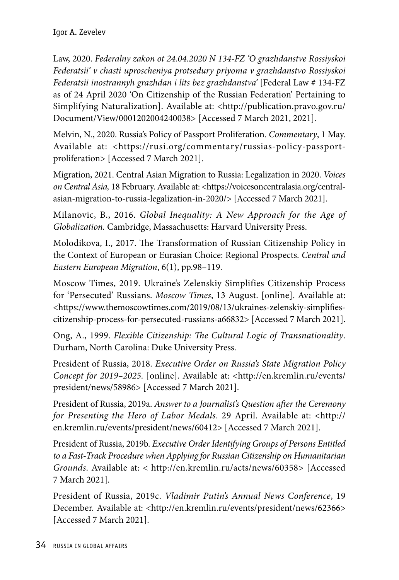Law, 2020. *Federalny zakon ot 24.04.2020 N 134-FZ 'O grazhdanstve Rossiyskoi Federatsii' v chasti uproscheniya protsedury priyoma v grazhdanstvo Rossiyskoi Federatsii inostrannyh grazhdan i lits bez grazhdanstva'* [Federal Law # 134-FZ as of 24 April 2020 'On Citizenship of the Russian Federation' Pertaining to Simplifying Naturalization]. Available at: <http://publication.pravo.gov.ru/ Document/View/0001202004240038> [Accessed 7 March 2021, 2021].

Melvin, N., 2020. Russia's Policy of Passport Proliferation. *Commentary*, 1 May. Available at: <https://rusi.org/commentary/russias-policy-passportproliferation> [Accessed 7 March 2021].

Migration, 2021. Central Asian Migration to Russia: Legalization in 2020. *Voices on Central Asia,* 18 February. Available at: <https://voicesoncentralasia.org/centralasian-migration-to-russia-legalization-in-2020/> [Accessed 7 March 2021].

Milanovic, B., 2016. *Global Inequality: A New Approach for the Age of Globalization.* Cambridge, Massachusetts: Harvard University Press.

Molodikova, I., 2017. The Transformation of Russian Citizenship Policy in the Context of European or Eurasian Choice: Regional Prospects. *Central and Eastern European Migration*, 6(1), pp.98–119.

Moscow Times, 2019. Ukraine's Zelenskiy Simplifies Citizenship Process for 'Persecuted' Russians. *Moscow Times*, 13 August. [online]. Available at: <https://www.themoscowtimes.com/2019/08/13/ukraines-zelenskiy-simplifiescitizenship-process-for-persecuted-russians-a66832> [Accessed 7 March 2021].

Ong, A., 1999. *Flexible Citizenship: The Cultural Logic of Transnationality*. Durham, North Carolina: Duke University Press.

President of Russia, 2018. *Executive Order on Russia's State Migration Policy Concept for 2019–2025.* [online]. Available at: <http://en.kremlin.ru/events/ president/news/58986> [Accessed 7 March 2021].

President of Russia, 2019a. *Answer to a Journalist's Question after the Ceremony for Presenting the Hero of Labor Medals*. 29 April. Available at: <http:// en.kremlin.ru/events/president/news/60412> [Accessed 7 March 2021].

President of Russia, 2019b. *Executive Order Identifying Groups of Persons Entitled to a Fast-Track Procedure when Applying for Russian Citizenship on Humanitarian Grounds*. Available at: < http://en.kremlin.ru/acts/news/60358> [Accessed 7 March 2021].

President of Russia, 2019c. *Vladimir Putin's Annual News Conference*, 19 December. Available at: <http://en.kremlin.ru/events/president/news/62366> [Accessed 7 March 2021].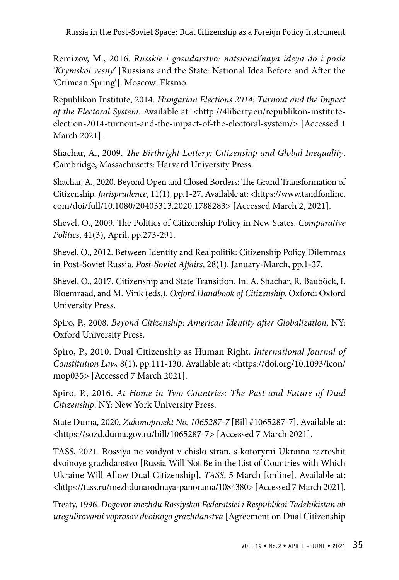Remizov, M., 2016. *Russkie i gosudarstvo: natsional'naya ideya do i posle 'Krymskoi vesny'* [Russians and the State: National Idea Before and After the 'Crimean Spring']. Moscow: Eksmo.

Republikon Institute, 2014. *Hungarian Elections 2014: Turnout and the Impact of the Electoral System*. Available at: <http://4liberty.eu/republikon-instituteelection-2014-turnout-and-the-impact-of-the-electoral-system/> [Accessed 1 March 2021].

Shachar, A., 2009. *The Birthright Lottery: Citizenship and Global Inequality*. Cambridge, Massachusetts: Harvard University Press.

Shachar, A., 2020. Beyond Open and Closed Borders: The Grand Transformation of Citizenship. *Jurisprudence*, 11(1), pp.1-27. Available at: <https://www.tandfonline. com/doi/full/10.1080/20403313.2020.1788283> [Accessed March 2, 2021].

Shevel, O., 2009. The Politics of Citizenship Policy in New States. *Comparative Politics*, 41(3), April, pp.273-291.

Shevel, O., 2012. Between Identity and Realpolitik: Citizenship Policy Dilemmas in Post-Soviet Russia. *Post-Soviet Affairs*, 28(1), January-March, pp.1-37.

Shevel, O., 2017. Citizenship and State Transition. In: A. Shachar, R. Bauböck, I. Bloemraad, and M. Vink (eds.). *Oxford Handbook of Citizenship.* Oxford: Oxford University Press.

Spiro, P., 2008. *Beyond Citizenship: American Identity after Globalization*. NY: Oxford University Press.

Spiro, P., 2010. Dual Citizenship as Human Right. *International Journal of Constitution Law,* 8(1), pp.111-130. Available at: <https://doi.org/10.1093/icon/ mop035> [Accessed 7 March 2021].

Spiro, P., 2016. *At Home in Two Countries: The Past and Future of Dual Citizenship*. NY: New York University Press.

State Duma, 2020. *Zakonoproekt No. 1065287-7* [Bill #1065287-7]. Available at: <https://sozd.duma.gov.ru/bill/1065287-7> [Accessed 7 March 2021].

TASS, 2021. Rossiya ne voidyot v chislo stran, s kotorymi Ukraina razreshit dvoinoye grazhdanstvo [Russia Will Not Be in the List of Countries with Which Ukraine Will Allow Dual Citizenship]. *TASS*, 5 March [online]. Available at: <https://tass.ru/mezhdunarodnaya-panorama/1084380> [Accessed 7 March 2021].

Treaty, 1996. *Dogovor mezhdu Rossiyskoi Federatsiei i Respublikoi Tadzhikistan ob uregulirovanii voprosov dvoinogo grazhdanstva* [Agreement on Dual Citizenship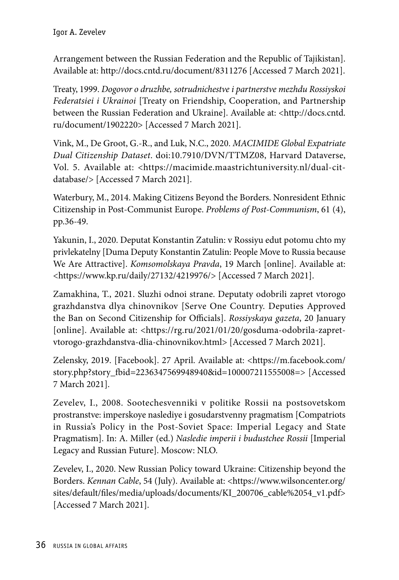Arrangement between the Russian Federation and the Republic of Tajikistan]. Available at: http://docs.cntd.ru/document/8311276 [Accessed 7 March 2021].

Treaty, 1999. *Dogovor o druzhbe, sotrudnichestve i partnerstve mezhdu Rossiyskoi Federatsiei i Ukrainoi* [Treaty on Friendship, Cooperation, and Partnership between the Russian Federation and Ukraine]. Available at: <http://docs.cntd. ru/document/1902220> [Accessed 7 March 2021].

Vink, M., De Groot, G.-R., and Luk, N.C., 2020. *MACIMIDE Global Expatriate Dual Citizenship Dataset*. doi:10.7910/DVN/TTMZ08, Harvard Dataverse, Vol. 5. Available at: <https://macimide.maastrichtuniversity.nl/dual-citdatabase/> [Accessed 7 March 2021].

Waterbury, M., 2014. Making Citizens Beyond the Borders. Nonresident Ethnic Citizenship in Post-Communist Europe. *Problems of Post-Communism*, 61 (4), pp.36-49.

Yakunin, I., 2020. Deputat Konstantin Zatulin: v Rossiyu edut potomu chto my privlekatelny [Duma Deputy Konstantin Zatulin: People Move to Russia because We Are Attractive]. *Komsomolskaya Pravda*, 19 March [online]. Available at: <https://www.kp.ru/daily/27132/4219976/> [Accessed 7 March 2021].

Zamakhina, T., 2021. Sluzhi odnoi strane. Deputaty odobrili zapret vtorogo grazhdanstva dlya chinovnikov [Serve One Country. Deputies Approved the Ban on Second Citizenship for Officials]. *Rossiyskaya gazeta*, 20 January [online]. Available at: <https://rg.ru/2021/01/20/gosduma-odobrila-zapretvtorogo-grazhdanstva-dlia-chinovnikov.html> [Accessed 7 March 2021].

Zelensky, 2019. [Facebook]. 27 April. Available at: <https://m.facebook.com/ story.php?story\_fbid=2236347569948940&id=100007211555008=> [Accessed 7 March 2021].

Zevelev, I., 2008. Sootechesvenniki v politike Rossii na postsovetskom prostranstve: imperskoye naslediye i gosudarstvenny pragmatism [Compatriots in Russia's Policy in the Post-Soviet Space: Imperial Legacy and State Pragmatism]. In: A. Miller (ed.) *Nasledie imperii i budustchee Rossii* [Imperial Legacy and Russian Future]. Moscow: NLO.

Zevelev, I., 2020. New Russian Policy toward Ukraine: Citizenship beyond the Borders. *Kennan Cable*, 54 (July). Available at: <https://www.wilsoncenter.org/ sites/default/files/media/uploads/documents/KI\_200706\_cable%2054\_v1.pdf> [Accessed 7 March 2021].